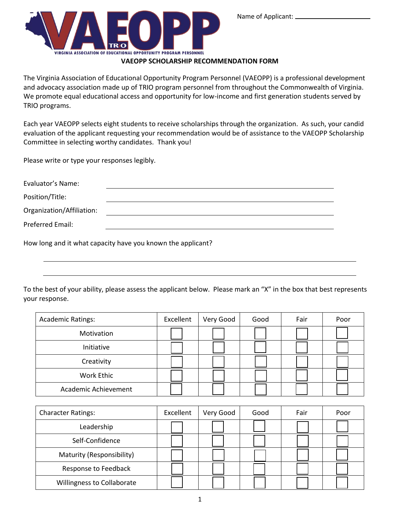

**VAEOPP SCHOLARSHIP RECOMMENDATION FORM**

The Virginia Association of Educational Opportunity Program Personnel (VAEOPP) is a professional development and advocacy association made up of TRIO program personnel from throughout the Commonwealth of Virginia. We promote equal educational access and opportunity for low-income and first generation students served by TRIO programs.

Each year VAEOPP selects eight students to receive scholarships through the organization. As such, your candid evaluation of the applicant requesting your recommendation would be of assistance to the VAEOPP Scholarship Committee in selecting worthy candidates. Thank you!

Please write or type your responses legibly.

| Evaluator's Name:         |  |
|---------------------------|--|
| Position/Title:           |  |
| Organization/Affiliation: |  |
| Preferred Email:          |  |

How long and it what capacity have you known the applicant?

To the best of your ability, please assess the applicant below. Please mark an "X" in the box that best represents your response.

| <b>Academic Ratings:</b> | Excellent | Very Good | Good | Fair | Poor |
|--------------------------|-----------|-----------|------|------|------|
| Motivation               |           |           |      |      |      |
| Initiative               |           |           |      |      |      |
| Creativity               |           |           |      |      |      |
| Work Ethic               |           |           |      |      |      |
| Academic Achievement     |           |           |      |      |      |

| <b>Character Ratings:</b>  | Excellent | Very Good | Good | Fair | Poor |
|----------------------------|-----------|-----------|------|------|------|
| Leadership                 |           |           |      |      |      |
| Self-Confidence            |           |           |      |      |      |
| Maturity (Responsibility)  |           |           |      |      |      |
| Response to Feedback       |           |           |      |      |      |
| Willingness to Collaborate |           |           |      |      |      |